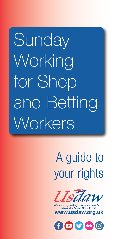**Sunday** Working for Shop and Betting Workers

# A guide to your rights



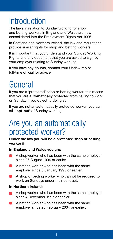### **Introduction**

The laws in relation to Sunday working for shop and betting workers in England and Wales are now consolidated into the Employment Rights Act 1996.

In Scotland and Northern Ireland, the law and regulations provide similar rights for shop and betting workers.

It is important that you understand your Sunday Working Rights and any document that you are asked to sign by your employer relating to Sunday working.

If you have any doubts, contact your Usdaw rep or full-time official for advice.

## General

If you are a 'protected' shop or betting worker, this means that you are **automatically** protected from having to work on Sunday if you object to doing so.

If you are not an automatically protected worker, you can still **'opt-out'** of Sunday working.

#### Are you an automatically protected worker?

**Under the law you will be a protected shop or betting worker if:**

#### **In England and Wales you are:**

- A shopworker who has been with the same employer since 26 August 1994 or earlier.
- A betting worker who has been with the same employer since 3 January 1995 or earlier.
- A shop or betting worker who cannot be required to work on Sundays under their contract.

#### **In Northern Ireland:**

- A shopworker who has been with the same employer  $\blacksquare$ since 4 December 1997 or earlier.
- A betting worker who has been with the same employer since 26 February 2004 or earlier.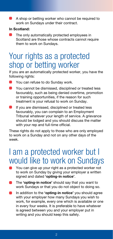A shop or betting worker who cannot be required to work on Sundays under their contract.

#### **In Scotland:**

◠ The only automatically protected employees in Scotland are those whose contracts cannot require them to work on Sundays.

#### Your rights as a protected shop or betting worker

If you are an automatically protected worker, you have the following rights:

- You can refuse to do Sunday work.
- $\blacksquare$ You cannot be dismissed, disciplined or treated less favourably, such as being denied overtime, promotion or training opportunities, if the reason for such treatment is your refusal to work on Sunday.
- If you are dismissed, disciplined or treated less favourably, you can complain to an Employment Tribunal whatever your length of service. A grievance should be lodged and you should discuss the matter with your rep and full-time official.

These rights do not apply to those who are only employed to work on a Sunday and not on any other days of the week.

#### I am a protected worker but I would like to work on Sundays

- You can give up your right as a protected worker not to work on Sunday by giving your employer a written signed and dated **'opting-in notice'**.
- The **'opting-in notice'** should say that you want to work Sundays or that you do not object to doing so.
- In addition to the **'opting-in notice'** you should agree with your employer how many Sundays you wish to work, for example, every one which is available or one in every four weeks. It is preferable to have whatever is agreed between you and your employer put in writing and you should keep this safely.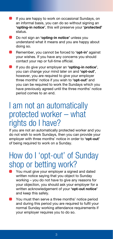- If you are happy to work on occasional Sundays, on an informal basis, you can do so without signing an **'opting-in notice'**, this will preserve your **'protected'** status.
- Do not sign an **'opting-in notice'** unless you understand what it means and you are happy about doing so.
- Remember, you cannot be forced to **'opt-in'** against your wishes. If you have any concerns you should contact your rep or full-time official.
- If you do give your employer an **'opting-in notice'**, you can change your mind later on and **'opt-out'**, however, you are required to give your employer three months' notice if you wish to **'opt-out'** and you can be required to work the Sundays which you have previously agreed until the three months' notice period comes to an end.

#### I am not an automatically protected worker – what rights do I have?

If you are not an automatically protected worker and you do not wish to work Sundays, then you can provide your employer with three months' notice in order to **'opt-out'** of being required to work on a Sunday.

#### How do I 'opt-out' of Sunday shop or betting work?

- You must give your employer a signed and dated written notice saying that you object to Sunday working – you do not have to give any reasons for your objection, you should ask your employer for a written acknowledgement of your **'opt-out notice'** and keep this safely.
- You must then serve a three months' notice period and during this period you are required to fulfil your normal Sunday working attendance requirements if your employer requires you to do so.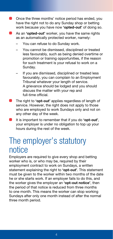- Once the three months' notice period has ended, you have the right not to do any Sunday shop or betting work because you have now **'opted-out'** of doing so.
- As an **'opted-out'** worker, you have the same rights as an automatically protected worker, namely:
	- You can refuse to do Sunday work.
	- You cannot be dismissed, disciplined or treated less favourably, such as being denied overtime or promotion or training opportunities, if the reason for such treatment is your refusal to work on a Sunday.
	- If you are dismissed, disciplined or treated less favourably, you can complain to an Employment Tribunal whatever your length of service. A grievance should be lodged and you should discuss the matter with your rep and full-time official.
- The right to **'opt-out'** applies regardless of length of service. However, the right does not apply to those who are employed to work Sundays only and not on any other day of the week.
- It is important to remember that if you do **'opt-out'**, your employer is under no obligation to top up your hours during the rest of the week.

#### The employer's statutory notice

Employers are required to give every shop and betting worker who is, or who may be, required by their employment contract to work on Sundays, a written statement explaining the right to **'opt-out'**. This statement must be given to the worker within two months of the date he or she starts work. If an employer fails to do this, and the worker gives the employer an **'opt-out notice'**, then the period of that notice is reduced from three months to one month. This means the worker can stop working Sundays after only one month instead of after the normal three month period.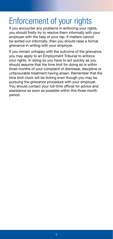## Enforcement of your rights

If you encounter any problems in enforcing your rights, you should firstly try to resolve them informally with your employer with the help of your rep. If matters cannot be sorted out informally, then you should raise a formal grievance in writing with your employer.

If you remain unhappy with the outcome of the grievance, you may apply to an Employment Tribunal to enforce your rights. In doing so you have to act quickly as you should assume that the time limit for doing so is within three months of your complaint of dismissal, discipline or unfavourable treatment having arisen. Remember that the time limit clock will be ticking even though you may be pursuing the grievance procedure with your employer. You should contact your full-time official for advice and assistance as soon as possible within this three month period.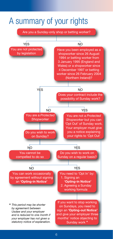#### A summary of your rights